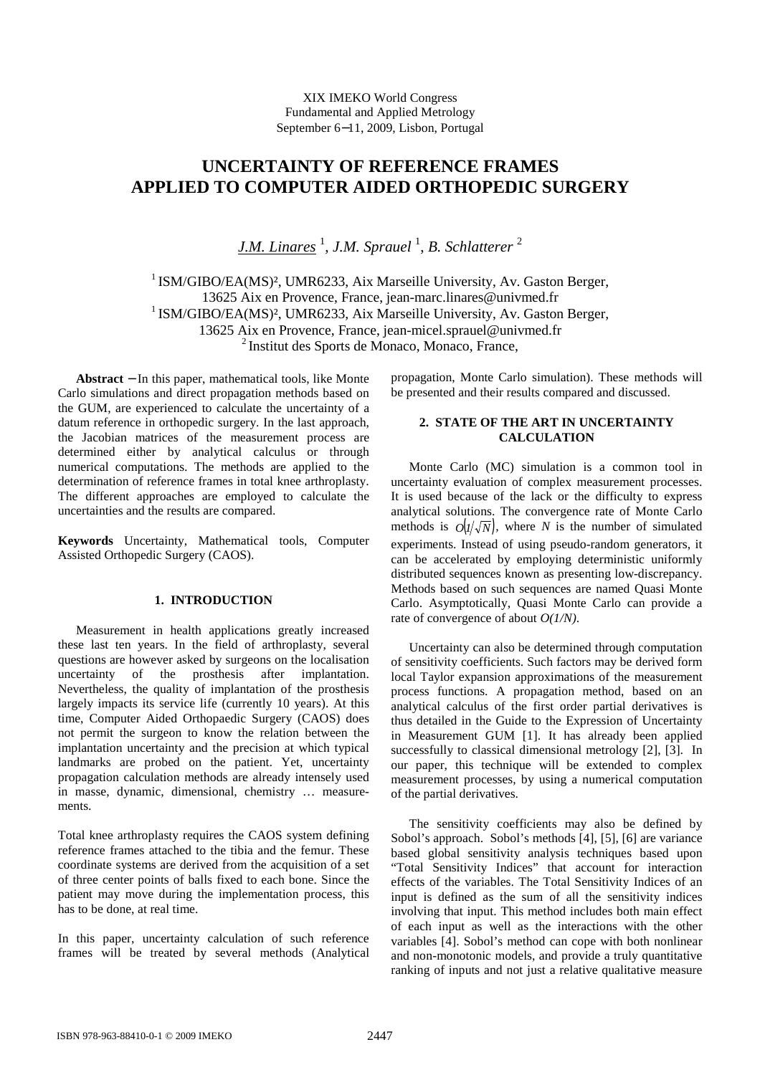# **UNCERTAINTY OF REFERENCE FRAMES APPLIED TO COMPUTER AIDED ORTHOPEDIC SURGERY**

*J.M. Linares* <sup>1</sup>, *J.M. Sprauel* <sup>1</sup>, *B. Schlatterer* <sup>2</sup>

 $1$ ISM/GIBO/EA(MS)<sup>2</sup>, UMR6233, Aix Marseille University, Av. Gaston Berger, 13625 Aix en Provence, France, jean-marc.linares@univmed.fr <sup>1</sup> ISM/GIBO/EA(MS)<sup>2</sup>, UMR6233, Aix Marseille University, Av. Gaston Berger, 13625 Aix en Provence, France, jean-micel.sprauel@univmed.fr <sup>2</sup>Institut des Sports de Monaco, Monaco, France,

**Abstract** − In this paper, mathematical tools, like Monte Carlo simulations and direct propagation methods based on the GUM, are experienced to calculate the uncertainty of a datum reference in orthopedic surgery. In the last approach, the Jacobian matrices of the measurement process are determined either by analytical calculus or through numerical computations. The methods are applied to the determination of reference frames in total knee arthroplasty. The different approaches are employed to calculate the uncertainties and the results are compared.

**Keywords** Uncertainty, Mathematical tools, Computer Assisted Orthopedic Surgery (CAOS).

# **1. INTRODUCTION**

Measurement in health applications greatly increased these last ten years. In the field of arthroplasty, several questions are however asked by surgeons on the localisation uncertainty of the prosthesis after implantation. Nevertheless, the quality of implantation of the prosthesis largely impacts its service life (currently 10 years). At this time, Computer Aided Orthopaedic Surgery (CAOS) does not permit the surgeon to know the relation between the implantation uncertainty and the precision at which typical landmarks are probed on the patient. Yet, uncertainty propagation calculation methods are already intensely used in masse, dynamic, dimensional, chemistry … measurements.

Total knee arthroplasty requires the CAOS system defining reference frames attached to the tibia and the femur. These coordinate systems are derived from the acquisition of a set of three center points of balls fixed to each bone. Since the patient may move during the implementation process, this has to be done, at real time.

In this paper, uncertainty calculation of such reference frames will be treated by several methods (Analytical propagation, Monte Carlo simulation). These methods will be presented and their results compared and discussed.

# **2. STATE OF THE ART IN UNCERTAINTY CALCULATION**

Monte Carlo (MC) simulation is a common tool in uncertainty evaluation of complex measurement processes. It is used because of the lack or the difficulty to express analytical solutions. The convergence rate of Monte Carlo methods is  $O(1/\sqrt{N})$ , where *N* is the number of simulated experiments. Instead of using pseudo-random generators, it can be accelerated by employing deterministic uniformly distributed sequences known as presenting low-discrepancy. Methods based on such sequences are named Quasi Monte Carlo. Asymptotically, Quasi Monte Carlo can provide a rate of convergence of about *O(1/N)*.

Uncertainty can also be determined through computation of sensitivity coefficients. Such factors may be derived form local Taylor expansion approximations of the measurement process functions. A propagation method, based on an analytical calculus of the first order partial derivatives is thus detailed in the Guide to the Expression of Uncertainty in Measurement GUM [1]. It has already been applied successfully to classical dimensional metrology [2], [3]. In our paper, this technique will be extended to complex measurement processes, by using a numerical computation of the partial derivatives.

The sensitivity coefficients may also be defined by Sobol's approach. Sobol's methods [4], [5], [6] are variance based global sensitivity analysis techniques based upon "Total Sensitivity Indices" that account for interaction effects of the variables. The Total Sensitivity Indices of an input is defined as the sum of all the sensitivity indices involving that input. This method includes both main effect of each input as well as the interactions with the other variables [4]. Sobol's method can cope with both nonlinear and non-monotonic models, and provide a truly quantitative ranking of inputs and not just a relative qualitative measure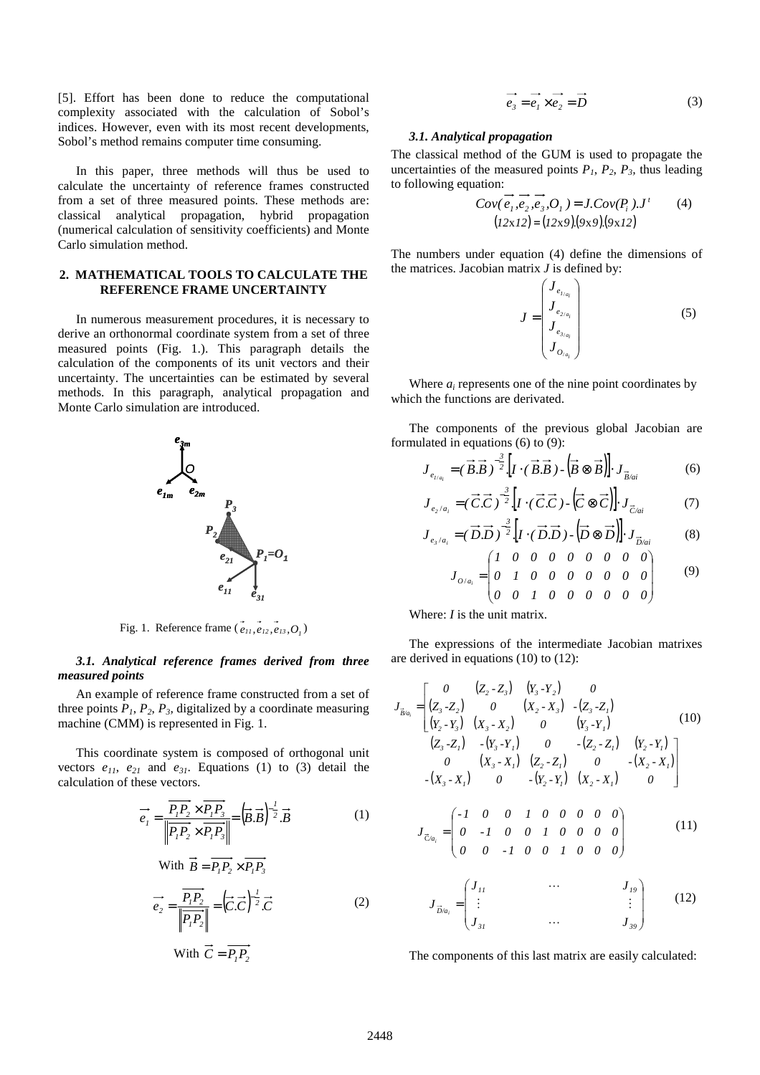[5]. Effort has been done to reduce the computational complexity associated with the calculation of Sobol's indices. However, even with its most recent developments, Sobol's method remains computer time consuming.

In this paper, three methods will thus be used to calculate the uncertainty of reference frames constructed from a set of three measured points. These methods are: classical analytical propagation, hybrid propagation (numerical calculation of sensitivity coefficients) and Monte Carlo simulation method.

## **2. MATHEMATICAL TOOLS TO CALCULATE THE REFERENCE FRAME UNCERTAINTY**

In numerous measurement procedures, it is necessary to derive an orthonormal coordinate system from a set of three measured points (Fig. 1.). This paragraph details the calculation of the components of its unit vectors and their uncertainty. The uncertainties can be estimated by several methods. In this paragraph, analytical propagation and Monte Carlo simulation are introduced.



Fig. 1. Reference frame ( $e_{11}, e_{12}, e_{13}, O_1$ )

## *3.1. Analytical reference frames derived from three measured points*

An example of reference frame constructed from a set of three points  $P_1$ ,  $P_2$ ,  $P_3$ , digitalized by a coordinate measuring machine (CMM) is represented in Fig. 1.

This coordinate system is composed of orthogonal unit vectors  $e_{11}$ ,  $e_{21}$  and  $e_{31}$ . Equations (1) to (3) detail the calculation of these vectors.

$$
\overrightarrow{e_i} = \frac{\overrightarrow{P_i P_2} \times \overrightarrow{P_i P_3}}{\left| \overrightarrow{P_i P_2} \times \overrightarrow{P_i P_3} \right|} = \left( \overrightarrow{B} . \overrightarrow{B} \right)^{\frac{1}{2}} . \overrightarrow{B}
$$
(1)

With 
$$
\overrightarrow{B} = \overrightarrow{P_1 P_2} \times \overrightarrow{P_1 P_3}
$$

$$
\overrightarrow{e_2} = \frac{\overrightarrow{P_1 P_2}}{\left\| \overrightarrow{P_1 P_2} \right\|} = \left(\overrightarrow{C}.\overrightarrow{C}\right)^{-\frac{1}{2}}.\overrightarrow{C}
$$
 (2)

With 
$$
C = P_1 P_2
$$

$$
\overrightarrow{e_3} = \overrightarrow{e_1} \times \overrightarrow{e_2} = \overrightarrow{D}
$$
 (3)

## *3.1. Analytical propagation*

The classical method of the GUM is used to propagate the uncertainties of the measured points  $P_1$ ,  $P_2$ ,  $P_3$ , thus leading to following equation:

$$
Cov(e_1, e_2, e_3, O_1) = J.Cov(P_i), J' \qquad (4)
$$
  
(12x12) = (12x9)(9x9)(9x12)

The numbers under equation (4) define the dimensions of the matrices. Jacobian matrix *J* is defined by:

$$
J = \begin{pmatrix} J_{e_{I/a_i}} \\ J_{e_{2/a_i}} \\ J_{e_{3/a_i}} \\ J_{o_{a_i}} \end{pmatrix}
$$
 (5)

Where  $a_i$  represents one of the nine point coordinates by which the functions are derivated.

The components of the previous global Jacobian are formulated in equations (6) to (9):

$$
J_{e_{I/a_i}} = (\overrightarrow{B} \cdot \overrightarrow{B})^{-\frac{3}{2}} \cdot [I \cdot (\overrightarrow{B} \cdot \overrightarrow{B}) \cdot (\overrightarrow{B} \otimes \overrightarrow{B})] \cdot J_{\overrightarrow{B}/ai}
$$
 (6)

$$
J_{e_2/a_i} = (\vec{C} \cdot \vec{C})^{-\frac{3}{2}} \left[ I \cdot (\vec{C} \cdot \vec{C}) \cdot (\vec{C} \otimes \vec{C}) \right] \cdot J_{\vec{C}/ai}
$$
 (7)

$$
J_{e_3/a_i} = (\overrightarrow{D} \cdot \overrightarrow{D})^{-\frac{3}{2}} \cdot [I \cdot (\overrightarrow{D} \cdot \overrightarrow{D}) \cdot (\overrightarrow{D} \otimes \overrightarrow{D})] \cdot J_{\overrightarrow{D}/ai}
$$
 (8)

$$
J_{O/a_i} = \begin{pmatrix} I & O & O & O & O & O & O & O \\ O & I & O & O & O & O & O & O & O \\ O & O & I & O & O & O & O & O & O \end{pmatrix} \tag{9}
$$

Where: *I* is the unit matrix.

L

*D/a*

*i*

l

The expressions of the intermediate Jacobian matrixes are derived in equations (10) to (12):

$$
J_{\vec{B}/a_i} = \begin{bmatrix} 0 & (Z_2 - Z_3) & (Y_3 - Y_2) & 0 \\ (Z_3 - Z_2) & 0 & (X_2 - X_3) & -(Z_3 - Z_1) \\ (Y_2 - Y_3) & (X_3 - X_2) & 0 & (Y_3 - Y_1) \\ (Z_3 - Z_1) & -(Y_3 - Y_1) & 0 & -(Z_2 - Z_1) & (Y_2 - Y_1) \\ 0 & (X_3 - X_1) & (Z_2 - Z_1) & 0 & -(X_2 - X_1) \\ -(X_3 - X_1) & 0 & -(Y_2 - Y_1) & (X_2 - X_1) & 0 \end{bmatrix}
$$
  
\n
$$
J_{\vec{C}/a_i} = \begin{pmatrix} -I & 0 & 0 & I & 0 & 0 & 0 & 0 \\ 0 & -I & 0 & 0 & I & 0 & 0 & 0 \\ 0 & 0 & -I & 0 & 0 & I & 0 & 0 & 0 \end{pmatrix}
$$
 (11)  
\n
$$
J_{\vec{D}/a_i} = \begin{bmatrix} J_{II} & \cdots & J_{I9} \\ \vdots & \vdots & \vdots \end{bmatrix}
$$
 (12)

The components of this last matrix are easily calculated:

*31 39*

 $\ldots$ 

*J*<sub>31</sub> ... *J* 

I

J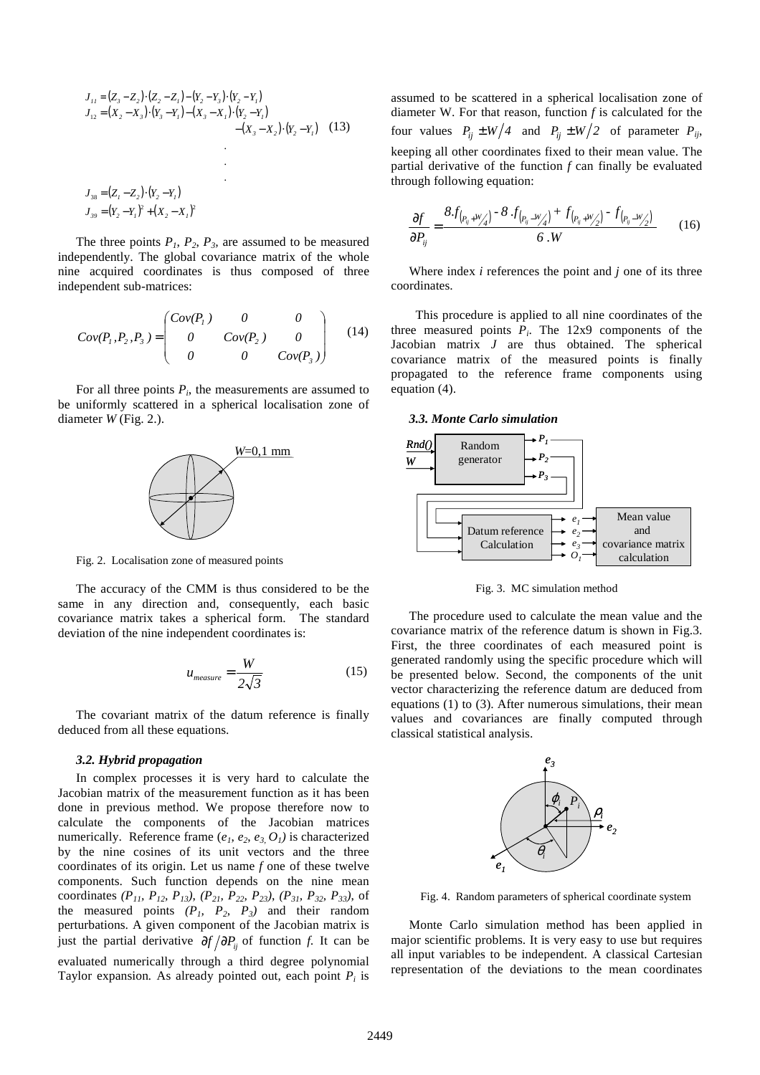$$
J_{11} = (Z_3 - Z_2) \cdot (Z_2 - Z_1) - (Y_2 - Y_3) \cdot (Y_2 - Y_1)
$$
  
\n
$$
J_{12} = (X_2 - X_3) \cdot (Y_3 - Y_1) - (X_3 - X_1) \cdot (Y_2 - Y_1)
$$
  
\n
$$
- (X_3 - X_2) \cdot (Y_2 - Y_1) \qquad (13)
$$
  
\n
$$
J_{38} = (Z_1 - Z_2) \cdot (Y_2 - Y_1)
$$
  
\n
$$
J_{39} = (Y_2 - Y_1)^2 + (X_2 - X_1)^2
$$

The three points  $P_1$ ,  $P_2$ ,  $P_3$ , are assumed to be measured independently. The global covariance matrix of the whole nine acquired coordinates is thus composed of three independent sub-matrices:

$$
Cov(P_1, P_2, P_3) = \begin{pmatrix} Cov(P_1) & 0 & 0 \ 0 & Cov(P_2) & 0 \ 0 & 0 & Cov(P_3) \end{pmatrix}
$$
 (14)

For all three points  $P_i$ , the measurements are assumed to be uniformly scattered in a spherical localisation zone of diameter *W* (Fig. 2.).



Fig. 2. Localisation zone of measured points

The accuracy of the CMM is thus considered to be the same in any direction and, consequently, each basic covariance matrix takes a spherical form. The standard deviation of the nine independent coordinates is:

$$
u_{measure} = \frac{W}{2\sqrt{3}}
$$
 (15)

The covariant matrix of the datum reference is finally deduced from all these equations.

# *3.2. Hybrid propagation*

In complex processes it is very hard to calculate the Jacobian matrix of the measurement function as it has been done in previous method. We propose therefore now to calculate the components of the Jacobian matrices numerically. Reference frame  $(e_1, e_2, e_3, O_1)$  is characterized by the nine cosines of its unit vectors and the three coordinates of its origin. Let us name *f* one of these twelve components. Such function depends on the nine mean coordinates *(P11, P12, P13)*, *(P21, P22, P23)*, *(P31, P32, P33)*, of the measured points  $(P_1, P_2, P_3)$  and their random perturbations. A given component of the Jacobian matrix is just the partial derivative  $\partial f / \partial P_{ii}$  of function *f*. It can be evaluated numerically through a third degree polynomial Taylor expansion. As already pointed out, each point  $P_i$  is assumed to be scattered in a spherical localisation zone of diameter W. For that reason, function *f* is calculated for the four values  $P_{ii} \pm W/4$  and  $P_{ii} \pm W/2$  of parameter  $P_{ij}$ , keeping all other coordinates fixed to their mean value. The partial derivative of the function *f* can finally be evaluated through following equation:

$$
\frac{\partial f}{\partial P_{ij}} = \frac{8f_{(P_{ij}+W'_{\mathcal{A}})} - 8f_{(P_{ij}-W'_{\mathcal{A}})} + f_{(P_{ij}+W'_{\mathcal{A}})} - f_{(P_{ij}-W'_{\mathcal{A}})} }{6 \cdot W} \tag{16}
$$

Where index *i* references the point and *j* one of its three coordinates.

 This procedure is applied to all nine coordinates of the three measured points  $P_i$ . The 12x9 components of the Jacobian matrix *J* are thus obtained. The spherical covariance matrix of the measured points is finally propagated to the reference frame components using equation (4).

#### *3.3. Monte Carlo simulation*



Fig. 3. MC simulation method

The procedure used to calculate the mean value and the covariance matrix of the reference datum is shown in Fig.3. First, the three coordinates of each measured point is generated randomly using the specific procedure which will be presented below. Second, the components of the unit vector characterizing the reference datum are deduced from equations (1) to (3). After numerous simulations, their mean values and covariances are finally computed through classical statistical analysis.



Fig. 4. Random parameters of spherical coordinate system

Monte Carlo simulation method has been applied in major scientific problems. It is very easy to use but requires all input variables to be independent. A classical Cartesian representation of the deviations to the mean coordinates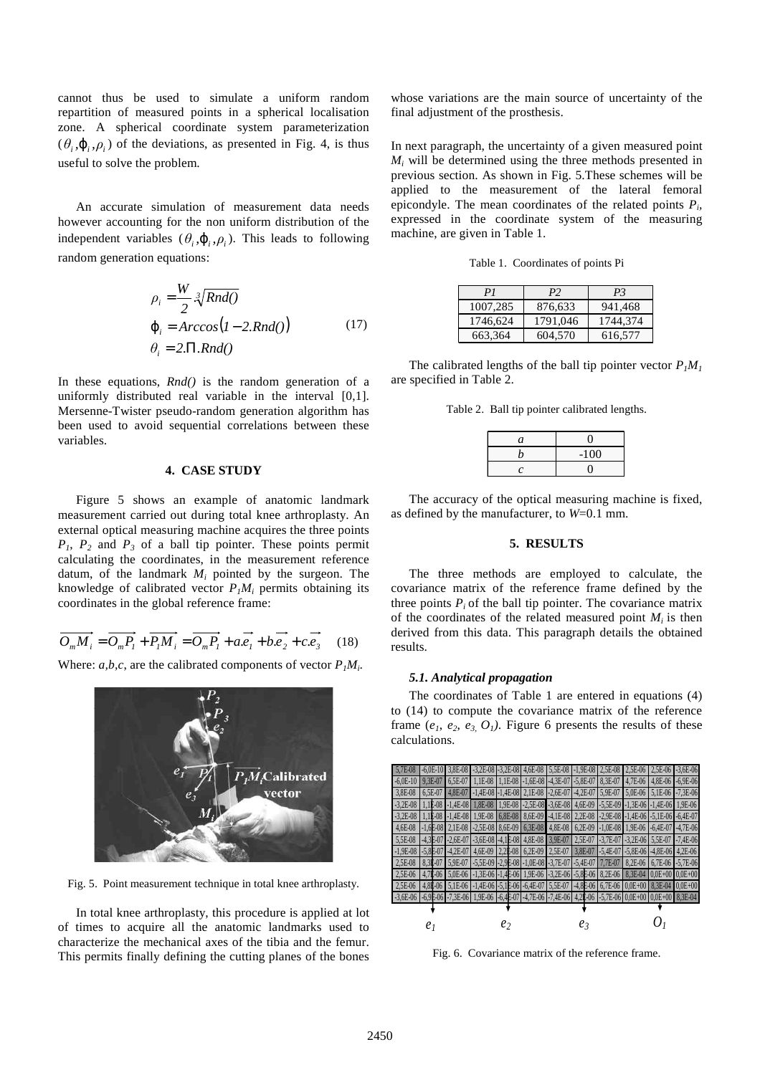cannot thus be used to simulate a uniform random repartition of measured points in a spherical localisation zone. A spherical coordinate system parameterization  $(\theta_i, \varphi_i, \rho_i)$  of the deviations, as presented in Fig. 4, is thus useful to solve the problem.

An accurate simulation of measurement data needs however accounting for the non uniform distribution of the independent variables  $(\theta_i, \varphi_i, \rho_i)$ . This leads to following random generation equations:

$$
\rho_i = \frac{W}{2} \sqrt[3]{Rnd(1)}
$$
  
\n
$$
\varphi_i = Arccos(1 - 2.Rnd(1))
$$
\n
$$
\theta_i = 2.\Pi.Rnd(1)
$$
\n(17)

In these equations, *Rnd()* is the random generation of a uniformly distributed real variable in the interval [0,1]. Mersenne-Twister pseudo-random generation algorithm has been used to avoid sequential correlations between these variables.

# **4. CASE STUDY**

Figure 5 shows an example of anatomic landmark measurement carried out during total knee arthroplasty. An external optical measuring machine acquires the three points *P1*, *P2* and *P3* of a ball tip pointer. These points permit calculating the coordinates, in the measurement reference datum, of the landmark *M<sup>i</sup>* pointed by the surgeon. The knowledge of calibrated vector  $P_I M_i$  permits obtaining its coordinates in the global reference frame:

$$
\overrightarrow{O_m M_i} = \overrightarrow{O_m P_i} + \overrightarrow{P_i M_i} = \overrightarrow{O_m P_i} + a \overrightarrow{e_i} + b \overrightarrow{e_2} + c \overrightarrow{e_3} \quad (18)
$$

Where:  $a, b, c$ , are the calibrated components of vector  $P_I M_i$ .



Fig. 5. Point measurement technique in total knee arthroplasty.

In total knee arthroplasty, this procedure is applied at lot of times to acquire all the anatomic landmarks used to characterize the mechanical axes of the tibia and the femur. This permits finally defining the cutting planes of the bones whose variations are the main source of uncertainty of the final adjustment of the prosthesis.

In next paragraph, the uncertainty of a given measured point  $M_i$  will be determined using the three methods presented in previous section. As shown in Fig. 5.These schemes will be applied to the measurement of the lateral femoral epicondyle. The mean coordinates of the related points  $P_i$ , expressed in the coordinate system of the measuring machine, are given in Table 1.

|  | Table 1. Coordinates of points Pi |  |  |  |
|--|-----------------------------------|--|--|--|
|--|-----------------------------------|--|--|--|

| PI       | P <sub>2</sub> | P <sub>3</sub> |
|----------|----------------|----------------|
| 1007,285 | 876,633        | 941.468        |
| 1746,624 | 1791.046       | 1744,374       |
| 663.364  | 604,570        | 616,577        |

The calibrated lengths of the ball tip pointer vector  $P_I M_I$ are specified in Table 2.

Table 2. Ball tip pointer calibrated lengths.

| a | 0      |
|---|--------|
| h | $-100$ |
| C |        |

The accuracy of the optical measuring machine is fixed, as defined by the manufacturer, to *W*=0.1 mm.

#### **5. RESULTS**

The three methods are employed to calculate, the covariance matrix of the reference frame defined by the three points  $P_i$  of the ball tip pointer. The covariance matrix of the coordinates of the related measured point  $M_i$  is then derived from this data. This paragraph details the obtained results.

#### *5.1. Analytical propagation*

The coordinates of Table 1 are entered in equations (4) to (14) to compute the covariance matrix of the reference frame  $(e_1, e_2, e_3, O_1)$ . Figure 6 presents the results of these calculations.



Fig. 6. Covariance matrix of the reference frame.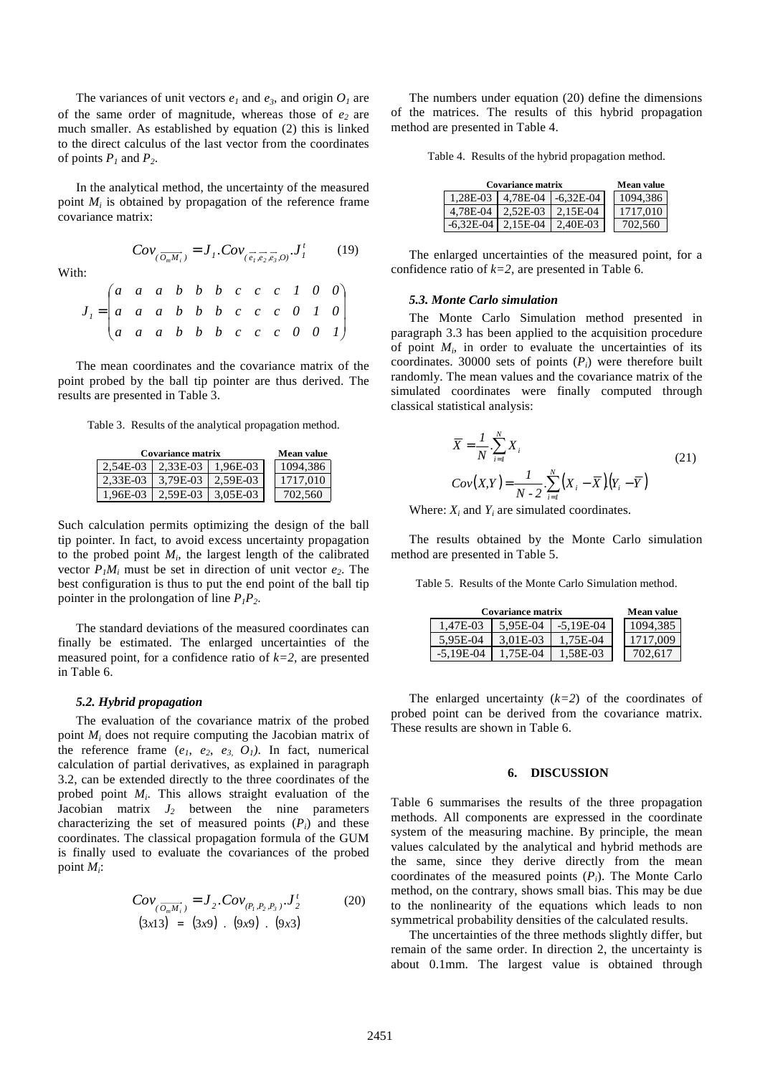The variances of unit vectors  $e_1$  and  $e_3$ , and origin  $O_1$  are of the same order of magnitude, whereas those of *e2* are much smaller. As established by equation (2) this is linked to the direct calculus of the last vector from the coordinates of points  $P_1$  and  $P_2$ .

In the analytical method, the uncertainty of the measured point  $M_i$  is obtained by propagation of the reference frame covariance matrix:

With:

| $Cov_{(\overrightarrow{O_mM_i})} = J_1$ . $Cov_{(\overrightarrow{e_i}, \overrightarrow{e_i}, \overrightarrow{e_i}, O)}$ . $J_1^t$ | (19) |
|-----------------------------------------------------------------------------------------------------------------------------------|------|
|-----------------------------------------------------------------------------------------------------------------------------------|------|

| $J_{1} = \begin{pmatrix} a & a & a & b & b & b & c & c & c & 1 & 0 & 0 \\ a & a & a & b & b & b & c & c & c & 0 & 1 & 0 \\ a & a & a & b & b & b & c & c & c & 0 & 0 & 1 \end{pmatrix}$ |  |  |  |  |  |  |
|-----------------------------------------------------------------------------------------------------------------------------------------------------------------------------------------|--|--|--|--|--|--|
|                                                                                                                                                                                         |  |  |  |  |  |  |

The mean coordinates and the covariance matrix of the point probed by the ball tip pointer are thus derived. The results are presented in Table 3.

Table 3. Results of the analytical propagation method.

| <b>Covariance matrix</b> | <b>Mean value</b>          |             |          |
|--------------------------|----------------------------|-------------|----------|
|                          | 2.54E-03 2.33E-03 1.96E-03 |             | 1094.386 |
|                          | 2.33E-03   3.79E-03        | 2.59E-03    | 1717.010 |
|                          | 1.96E-03 2.59E-03          | $13.05E-03$ | 702.560  |

Such calculation permits optimizing the design of the ball tip pointer. In fact, to avoid excess uncertainty propagation to the probed point  $M_i$ , the largest length of the calibrated vector  $P_I M_i$  must be set in direction of unit vector  $e_2$ . The best configuration is thus to put the end point of the ball tip pointer in the prolongation of line *P1P2*.

The standard deviations of the measured coordinates can finally be estimated. The enlarged uncertainties of the measured point, for a confidence ratio of *k=2,* are presented in Table 6.

#### *5.2. Hybrid propagation*

The evaluation of the covariance matrix of the probed point *M<sup>i</sup>* does not require computing the Jacobian matrix of the reference frame  $(e_1, e_2, e_3, O_1)$ . In fact, numerical calculation of partial derivatives, as explained in paragraph 3.2, can be extended directly to the three coordinates of the probed point *M<sup>i</sup>* . This allows straight evaluation of the  $J$ acobian matrix  $J_2$  between the nine parameters characterizing the set of measured points  $(P_i)$  and these coordinates. The classical propagation formula of the GUM is finally used to evaluate the covariances of the probed point *M<sup>i</sup>* :

$$
Cov_{(\overline{O_m M_i})} = J_2. Cov_{(P_1, P_2, P_3)}. J'_2
$$
\n(20)  
\n(3x13) = (3x9) . (9x9) . (9x3)

The numbers under equation (20) define the dimensions of the matrices. The results of this hybrid propagation method are presented in Table 4.

Table 4. Results of the hybrid propagation method.

| <b>Covariance matrix</b> | <b>Mean value</b>                 |                                       |          |
|--------------------------|-----------------------------------|---------------------------------------|----------|
|                          |                                   | $1,28E-03$   $4,78E-04$   $-6,32E-04$ | 1094,386 |
|                          | 4,78E-04   2,52E-03   2,15E-04    |                                       | 1717.010 |
|                          | $-6,32E-04$   2,15E-04   2,40E-03 |                                       | 702.560  |

The enlarged uncertainties of the measured point, for a confidence ratio of  $k=2$ , are presented in Table 6.

#### *5.3. Monte Carlo simulation*

The Monte Carlo Simulation method presented in paragraph 3.3 has been applied to the acquisition procedure of point  $M_i$ , in order to evaluate the uncertainties of its coordinates. 30000 sets of points  $(P_i)$  were therefore built randomly. The mean values and the covariance matrix of the simulated coordinates were finally computed through classical statistical analysis:

$$
\overline{X} = \frac{1}{N} \cdot \sum_{i=1}^{N} X_i
$$
\n
$$
Cov(X, Y) = \frac{1}{N - 2} \cdot \sum_{i=1}^{N} (X_i - \overline{X})(Y_i - \overline{Y})
$$
\n(21)

Where:  $X_i$  and  $Y_i$  are simulated coordinates.

The results obtained by the Monte Carlo simulation method are presented in Table 5.

Table 5. Results of the Monte Carlo Simulation method.

| <b>Covariance matrix</b> | <b>Mean value</b> |             |          |
|--------------------------|-------------------|-------------|----------|
| 1.47E-03                 | 5.95E-04          | $-5.19E-04$ | 1094,385 |
| 5.95E-04                 | 3.01E-03          | 1.75E-04    | 1717,009 |
| $-5.19E-04$              | 1.75E-04          | 1.58E-03    | 702.617  |

The enlarged uncertainty  $(k=2)$  of the coordinates of probed point can be derived from the covariance matrix. These results are shown in Table 6.

#### **6. DISCUSSION**

Table 6 summarises the results of the three propagation methods. All components are expressed in the coordinate system of the measuring machine. By principle, the mean values calculated by the analytical and hybrid methods are the same, since they derive directly from the mean coordinates of the measured points (*Pi*). The Monte Carlo method, on the contrary, shows small bias. This may be due to the nonlinearity of the equations which leads to non symmetrical probability densities of the calculated results.

The uncertainties of the three methods slightly differ, but remain of the same order. In direction 2, the uncertainty is about 0.1mm. The largest value is obtained through